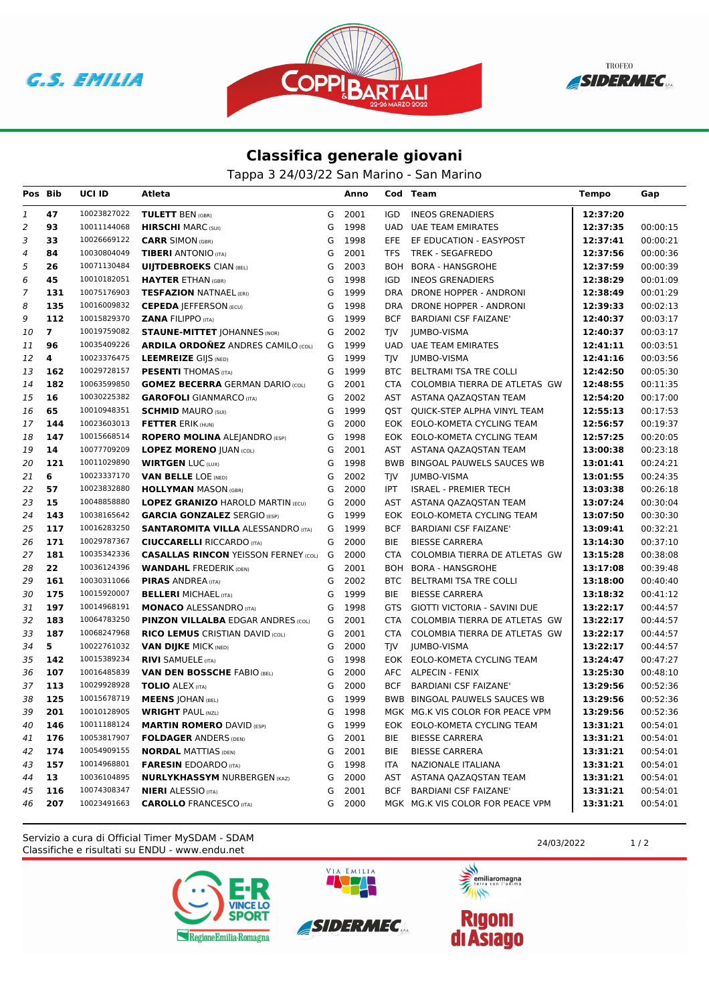





## **Classifica generale giovani**

Tappa 3 24/03/22 San Marino - San Marino

| Pos Bib |                | UCI ID      | Atleta                                      |   | Anno |            | Cod Team                         | <b>Tempo</b> | Gap      |
|---------|----------------|-------------|---------------------------------------------|---|------|------------|----------------------------------|--------------|----------|
| 1       | 47             | 10023827022 | <b>TULETT BEN (GBR)</b>                     | G | 2001 | IGD        | <b>INEOS GRENADIERS</b>          | 12:37:20     |          |
| 2       | 93             | 10011144068 | <b>HIRSCHI MARC (SUI)</b>                   | G | 1998 | <b>UAD</b> | <b>UAE TEAM EMIRATES</b>         | 12:37:35     | 00:00:15 |
| 3       | 33             | 10026669122 | <b>CARR SIMON (GBR)</b>                     | G | 1998 | EFE.       | EF EDUCATION - EASYPOST          | 12:37:41     | 00:00:21 |
| 4       | 84             | 10030804049 | <b>TIBERI</b> ANTONIO (ITA)                 | G | 2001 | TFS        | TREK - SEGAFREDO                 | 12:37:56     | 00:00:36 |
| 5       | 26             | 10071130484 | <b>UIJTDEBROEKS CIAN (BEL)</b>              | G | 2003 | <b>BOH</b> | BORA - HANSGROHE                 | 12:37:59     | 00:00:39 |
| 6       | 45             | 10010182051 | <b>HAYTER ETHAN (GBR)</b>                   | G | 1998 | <b>IGD</b> | <b>INEOS GRENADIERS</b>          | 12:38:29     | 00:01:09 |
| 7       | 131            | 10075176903 | <b>TESFAZION NATNAEL (ERI)</b>              | G | 1999 | <b>DRA</b> | DRONE HOPPER - ANDRONI           | 12:38:49     | 00:01:29 |
| 8       | 135            | 10016009832 | <b>CEPEDA   EFFERSON (ECU)</b>              | G | 1998 | <b>DRA</b> | DRONE HOPPER - ANDRONI           | 12:39:33     | 00:02:13 |
| 9       | 112            | 10015829370 | <b>ZANA FILIPPO (ITA)</b>                   | G | 1999 | <b>BCF</b> | <b>BARDIANI CSF FAIZANE'</b>     | 12:40:37     | 00:03:17 |
| 10      | $\overline{7}$ | 10019759082 | <b>STAUNE-MITTET JOHANNES (NOR)</b>         | G | 2002 | TJV        | <b>JUMBO-VISMA</b>               | 12:40:37     | 00:03:17 |
| 11      | 96             | 10035409226 | <b>ARDILA ORDOÑEZ ANDRES CAMILO (COL)</b>   | G | 1999 | UAD        | <b>UAE TEAM EMIRATES</b>         | 12:41:11     | 00:03:51 |
| 12      | 4              | 10023376475 | <b>LEEMREIZE GIJS (NED)</b>                 | G | 1999 | <b>TIV</b> | JUMBO-VISMA                      | 12:41:16     | 00:03:56 |
| 13      | 162            | 10029728157 | <b>PESENTI</b> THOMAS (ITA)                 | G | 1999 | BTC        | BELTRAMI TSA TRE COLLI           | 12:42:50     | 00:05:30 |
| 14      | 182            | 10063599850 | <b>GOMEZ BECERRA GERMAN DARIO (COL)</b>     | G | 2001 | CTA        | COLOMBIA TIERRA DE ATLETAS GW    | 12:48:55     | 00:11:35 |
| 15      | 16             | 10030225382 | <b>GAROFOLI</b> GIANMARCO (ITA)             | G | 2002 |            | AST ASTANA QAZAQSTAN TEAM        | 12:54:20     | 00:17:00 |
| 16      | 65             | 10010948351 | <b>SCHMID MAURO (SUI)</b>                   | G | 1999 |            | QST QUICK-STEP ALPHA VINYL TEAM  | 12:55:13     | 00:17:53 |
| 17      | 144            | 10023603013 | <b>FETTER ERIK (HUN)</b>                    | G | 2000 |            | EOK EOLO-KOMETA CYCLING TEAM     | 12:56:57     | 00:19:37 |
| 18      | 147            | 10015668514 | <b>ROPERO MOLINA ALEJANDRO (ESP)</b>        | G | 1998 | EOK.       | EOLO-KOMETA CYCLING TEAM         | 12:57:25     | 00:20:05 |
| 19      | 14             | 10077709209 | <b>LOPEZ MORENO JUAN (COL)</b>              | G | 2001 | AST        | ASTANA QAZAQSTAN TEAM            | 13:00:38     | 00:23:18 |
| 20      | 121            | 10011029890 | <b>WIRTGEN LUC (LUX)</b>                    | G | 1998 |            | BWB BINGOAL PAUWELS SAUCES WB    | 13:01:41     | 00:24:21 |
| 21      | 6              | 10023337170 | <b>VAN BELLE LOE (NED)</b>                  | G | 2002 | TJV        | JUMBO-VISMA                      | 13:01:55     | 00:24:35 |
| 22      | 57             | 10023832880 | <b>HOLLYMAN MASON (GBR)</b>                 | G | 2000 | IPT        | <b>ISRAEL - PREMIER TECH</b>     | 13:03:38     | 00:26:18 |
| 23      | 15             | 10048858880 | <b>LOPEZ GRANIZO HAROLD MARTIN (ECU)</b>    | G | 2000 | AST        | ASTANA QAZAQSTAN TEAM            | 13:07:24     | 00:30:04 |
| 24      | 143            | 10038165642 | <b>GARCIA GONZALEZ SERGIO (ESP)</b>         | G | 1999 | EOK        | EOLO-KOMETA CYCLING TEAM         | 13:07:50     | 00:30:30 |
| 25      | 117            | 10016283250 | <b>SANTAROMITA VILLA ALESSANDRO (ITA)</b>   | G | 1999 | <b>BCF</b> | <b>BARDIANI CSF FAIZANE'</b>     | 13:09:41     | 00:32:21 |
| 26      | 171            | 10029787367 | <b>CIUCCARELLI RICCARDO (ITA)</b>           | G | 2000 | BIE        | <b>BIESSE CARRERA</b>            | 13:14:30     | 00:37:10 |
| 27      | 181            | 10035342336 | <b>CASALLAS RINCON YEISSON FERNEY (COL)</b> | G | 2000 | <b>CTA</b> | COLOMBIA TIERRA DE ATLETAS GW    | 13:15:28     | 00:38:08 |
| 28      | 22             | 10036124396 | <b>WANDAHL FREDERIK (DEN)</b>               | G | 2001 |            | BOH BORA - HANSGROHE             | 13:17:08     | 00:39:48 |
| 29      | 161            | 10030311066 | <b>PIRAS ANDREA (ITA)</b>                   | G | 2002 |            | BTC BELTRAMI TSA TRE COLLI       | 13:18:00     | 00:40:40 |
| 30      | 175            | 10015920007 | <b>BELLERI MICHAEL (ITA)</b>                | G | 1999 | <b>BIE</b> | <b>BIESSE CARRERA</b>            | 13:18:32     | 00:41:12 |
| 31      | 197            | 10014968191 | <b>MONACO ALESSANDRO (ITA)</b>              | G | 1998 | GTS        | GIOTTI VICTORIA - SAVINI DUE     | 13:22:17     | 00:44:57 |
| 32      | 183            | 10064783250 | <b>PINZON VILLALBA EDGAR ANDRES (COL)</b>   | G | 2001 | <b>CTA</b> | COLOMBIA TIERRA DE ATLETAS GW    | 13:22:17     | 00:44:57 |
| 33      | 187            | 10068247968 | <b>RICO LEMUS CRISTIAN DAVID (COL)</b>      | G | 2001 | CTA        | COLOMBIA TIERRA DE ATLETAS GW    | 13:22:17     | 00:44:57 |
| 34      | 5              | 10022761032 | <b>VAN DIJKE MICK (NED)</b>                 | G | 2000 | TJV        | JUMBO-VISMA                      | 13:22:17     | 00:44:57 |
| 35      | 142            | 10015389234 | <b>RIVI SAMUELE (ITA)</b>                   | G | 1998 |            | EOK EOLO-KOMETA CYCLING TEAM     | 13:24:47     | 00:47:27 |
| 36      | 107            | 10016485839 | <b>VAN DEN BOSSCHE FABIO (BEL)</b>          | G | 2000 |            | AFC ALPECIN - FENIX              | 13:25:30     | 00:48:10 |
| 37      | 113            | 10029928928 | <b>TOLIO ALEX (ITA)</b>                     | G | 2000 | <b>BCF</b> | <b>BARDIANI CSF FAIZANE'</b>     | 13:29:56     | 00:52:36 |
| 38      | 125            | 10015678719 | <b>MEENS   OHAN (BEL)</b>                   | G | 1999 |            | BWB BINGOAL PAUWELS SAUCES WB    | 13:29:56     | 00:52:36 |
| 39      | 201            | 10010128905 | <b>WRIGHT PAUL (NZL)</b>                    | G | 1998 |            | MGK MG.K VIS COLOR FOR PEACE VPM | 13:29:56     | 00:52:36 |
| 40      | 146            | 10011188124 | <b>MARTIN ROMERO DAVID (ESP)</b>            | G | 1999 |            | EOK EOLO-KOMETA CYCLING TEAM     | 13:31:21     | 00:54:01 |
| 41      | 176            | 10053817907 | <b>FOLDAGER ANDERS (DEN)</b>                | G | 2001 | BIE        | <b>BIESSE CARRERA</b>            | 13:31:21     | 00:54:01 |
| 42      | 174            | 10054909155 | <b>NORDAL MATTIAS (DEN)</b>                 | G | 2001 | BIE        | <b>BIESSE CARRERA</b>            | 13:31:21     | 00:54:01 |
| 43      | 157            | 10014968801 | <b>FARESIN</b> EDOARDO (ITA)                | G | 1998 | ITA        | NAZIONALE ITALIANA               | 13:31:21     | 00:54:01 |
| 44      | 13             | 10036104895 | <b>NURLYKHASSYM NURBERGEN (KAZ)</b>         | G | 2000 | AST        | ASTANA QAZAQSTAN TEAM            | 13:31:21     | 00:54:01 |
| 45      | 116            | 10074308347 | <b>NIERI</b> ALESSIO (ITA)                  | G | 2001 | BCF        | <b>BARDIANI CSF FAIZANE'</b>     | 13:31:21     | 00:54:01 |
| 46      | 207            | 10023491663 | <b>CAROLLO</b> FRANCESCO (ITA)              | G | 2000 |            | MGK MG.K VIS COLOR FOR PEACE VPM | 13:31:21     | 00:54:01 |

Classifiche e risultati su ENDU - www.endu.net Servizio a cura di Official Timer MySDAM - SDAM 24/03/2022 1/2





VIA EMILIA



**Rigoni<br>di Asiago**